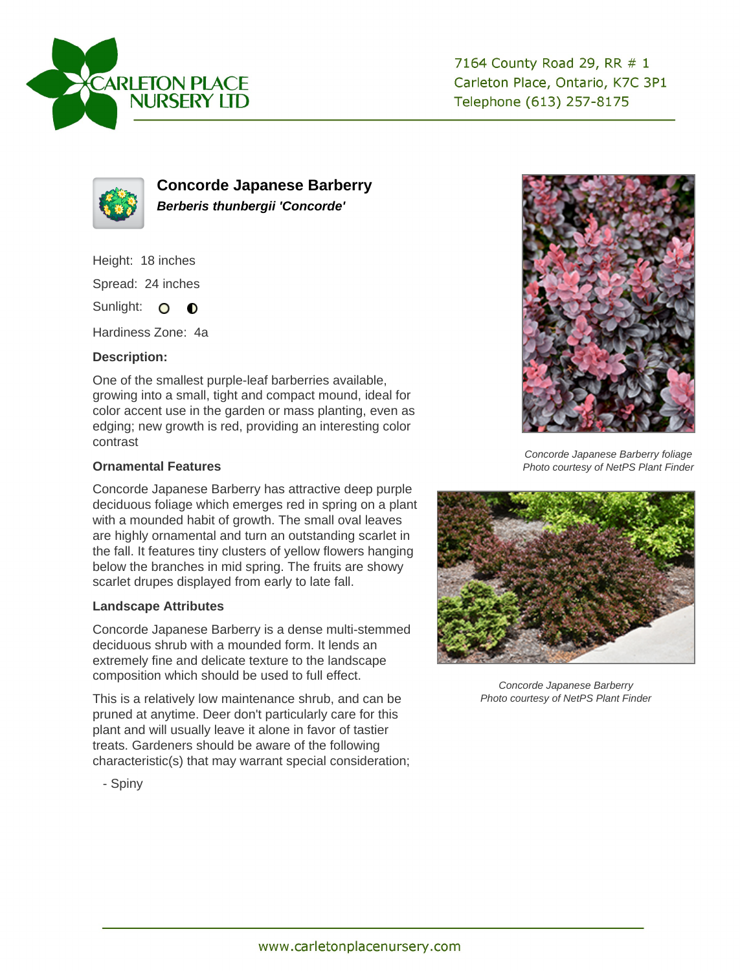



**Concorde Japanese Barberry Berberis thunbergii 'Concorde'**

Height: 18 inches

Spread: 24 inches

Sunlight: O O

Hardiness Zone: 4a

## **Description:**

One of the smallest purple-leaf barberries available, growing into a small, tight and compact mound, ideal for color accent use in the garden or mass planting, even as edging; new growth is red, providing an interesting color contrast

## **Ornamental Features**

Concorde Japanese Barberry has attractive deep purple deciduous foliage which emerges red in spring on a plant with a mounded habit of growth. The small oval leaves are highly ornamental and turn an outstanding scarlet in the fall. It features tiny clusters of yellow flowers hanging below the branches in mid spring. The fruits are showy scarlet drupes displayed from early to late fall.

## **Landscape Attributes**

Concorde Japanese Barberry is a dense multi-stemmed deciduous shrub with a mounded form. It lends an extremely fine and delicate texture to the landscape composition which should be used to full effect.

This is a relatively low maintenance shrub, and can be pruned at anytime. Deer don't particularly care for this plant and will usually leave it alone in favor of tastier treats. Gardeners should be aware of the following characteristic(s) that may warrant special consideration;



Concorde Japanese Barberry foliage Photo courtesy of NetPS Plant Finder



Concorde Japanese Barberry Photo courtesy of NetPS Plant Finder

- Spiny